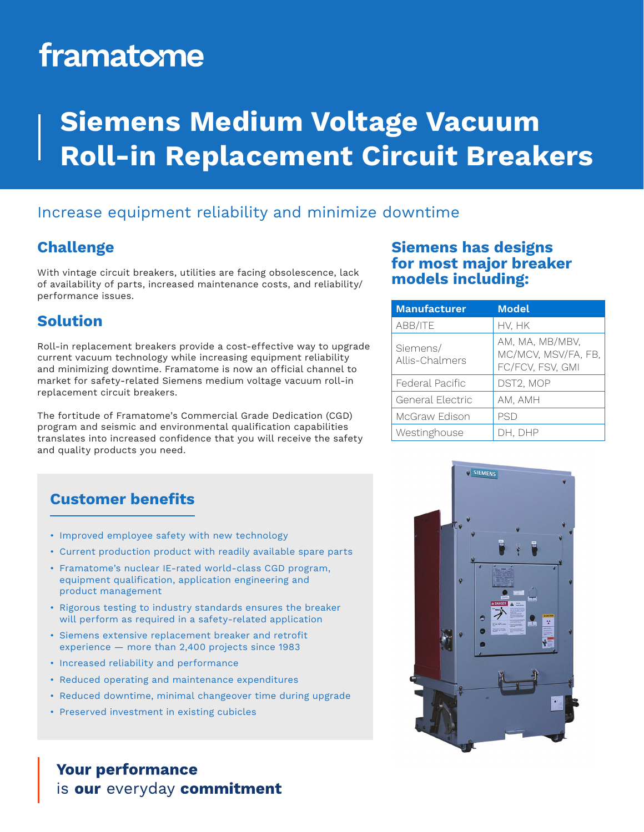# framatome

## **Siemens Medium Voltage Vacuum Roll-in Replacement Circuit Breakers**

### Increase equipment reliability and minimize downtime

### **Challenge**

With vintage circuit breakers, utilities are facing obsolescence, lack of availability of parts, increased maintenance costs, and reliability/ performance issues.

### **Solution**

Roll-in replacement breakers provide a cost-effective way to upgrade current vacuum technology while increasing equipment reliability and minimizing downtime. Framatome is now an official channel to market for safety-related Siemens medium voltage vacuum roll-in replacement circuit breakers.

The fortitude of Framatome's Commercial Grade Dedication (CGD) program and seismic and environmental qualification capabilities translates into increased confidence that you will receive the safety and quality products you need.

### **Siemens has designs for most major breaker models including:**

| <b>Manufacturer</b>        | <b>Model</b>                                               |
|----------------------------|------------------------------------------------------------|
| ABB/ITE                    | hv, hk                                                     |
| Siemens/<br>Allis-Chalmers | AM, MA, MB/MBV,<br>MC/MCV, MSV/FA, FB,<br>FC/FCV, FSV, GMI |
| Federal Pacific            | DST2, MOP                                                  |
| General Electric           | AM, AMH                                                    |
| McGraw Edison              | PSD                                                        |
| Westinghouse               | DH. DHP                                                    |

### **Customer benefits**

- Improved employee safety with new technology
- Current production product with readily available spare parts
- Framatome's nuclear IE-rated world-class CGD program, equipment qualification, application engineering and product management
- Rigorous testing to industry standards ensures the breaker will perform as required in a safety-related application
- Siemens extensive replacement breaker and retrofit experience — more than 2,400 projects since 1983
- Increased reliability and performance
- Reduced operating and maintenance expenditures
- Reduced downtime, minimal changeover time during upgrade
- Preserved investment in existing cubicles

### **Your performance** is our everyday commitment